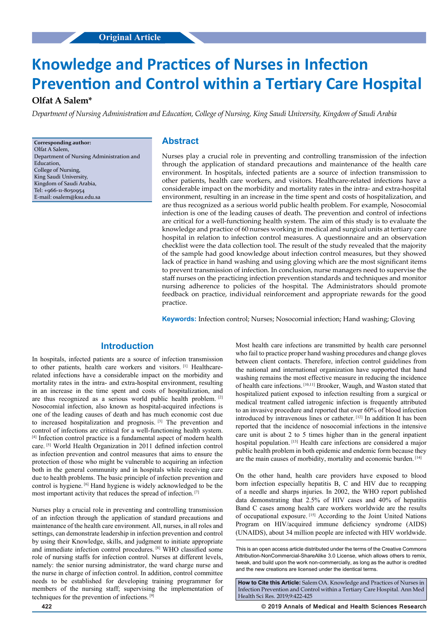# **Original Article Original Article**

# **Knowledge and Practices of Nurses in Infection Prevention and Control within a Tertiary Care Hospital**

# **Olfat A Salem\***

*Department of Nursing Administration and Education, College of Nursing, King Saudi University, Kingdom of Saudi Arabia*

**Corresponding author:** Olfat A Salem, Department of Nursing Administration and **Education** College of Nursing, King Saudi University, Kingdom of Saudi Arabia, Tel: +966-11-8050954 E-mail: osalem@ksu.edu.sa

# **Abstract**

Nurses play a crucial role in preventing and controlling transmission of the infection through the application of standard precautions and maintenance of the health care environment. In hospitals, infected patients are a source of infection transmission to other patients, health care workers, and visitors. Healthcare-related infections have a considerable impact on the morbidity and mortality rates in the intra- and extra-hospital environment, resulting in an increase in the time spent and costs of hospitalization, and are thus recognized as a serious world public health problem. For example, Nosocomial infection is one of the leading causes of death. The prevention and control of infections are critical for a well-functioning health system. The aim of this study is to evaluate the knowledge and practice of 60 nurses working in medical and surgical units at tertiary care hospital in relation to infection control measures. A questionnaire and an observation checklist were the data collection tool. The result of the study revealed that the majority of the sample had good knowledge about infection control measures, but they showed lack of practice in hand washing and using gloving which are the most significant items to prevent transmission of infection. In conclusion, nurse managers need to supervise the staff nurses on the practicing infection prevention standards and techniques and monitor nursing adherence to policies of the hospital. The Administrators should promote feedback on practice, individual reinforcement and appropriate rewards for the good practice.

**Keywords:** Infection control; Nurses; Nosocomial infection; Hand washing; Gloving

# **Introduction**

In hospitals, infected patients are a source of infection transmission to other patients, health care workers and visitors.<sup>[1]</sup> Healthcarerelated infections have a considerable impact on the morbidity and mortality rates in the intra- and extra-hospital environment, resulting in an increase in the time spent and costs of hospitalization, and are thus recognized as a serious world public health problem. [2] Nosocomial infection, also known as hospital-acquired infections is one of the leading causes of death and has much economic cost due to increased hospitalization and prognosis. [3] The prevention and control of infections are critical for a well-functioning health system. [4] Infection control practice is a fundamental aspect of modern health care. [5] World Health Organization in 2011 defined infection control as infection prevention and control measures that aims to ensure the protection of those who might be vulnerable to acquiring an infection both in the general community and in hospitals while receiving care due to health problems. The basic principle of infection prevention and control is hygiene. [6] Hand hygiene is widely acknowledged to be the most important activity that reduces the spread of infection. [7]

Nurses play a crucial role in preventing and controlling transmission of an infection through the application of standard precautions and maintenance of the health care environment. All, nurses, in all roles and settings, can demonstrate leadership in infection prevention and control by using their Knowledge, skills, and judgment to initiate appropriate and immediate infection control procedures. [8] WHO classified some role of nursing staffs for infection control. Nurses at different levels, namely: the senior nursing administrator, the ward charge nurse and the nurse in charge of infection control. In addition, control committee needs to be established for developing training programmer for members of the nursing staff; supervising the implementation of techniques for the prevention of infections. [9]

Most health care infections are transmitted by health care personnel who fail to practice proper hand washing procedures and change gloves between client contacts. Therefore, infection control guidelines from the national and international organization have supported that hand washing remains the most effective measure in reducing the incidence of health care infections. [10,11] Brooker, Waugh, and Waston stated that hospitalized patient exposed to infection resulting from a surgical or medical treatment called iatrogenic infection is frequently attributed to an invasive procedure and reported that over 60% of blood infection introduced by intravenous lines or catheter. [12] In addition It has been reported that the incidence of nosocomial infections in the intensive care unit is about 2 to 5 times higher than in the general inpatient hospital population. [13] Health care infections are considered a major public health problem in both epidemic and endemic form because they are the main causes of morbidity, mortality and economic burden. [14]

On the other hand, health care providers have exposed to blood born infection especially hepatitis B, C and HIV due to recapping of a needle and sharps injuries. In 2002, the WHO report published data demonstrating that 2.5% of HIV cases and 40% of hepatitis Band C cases among health care workers worldwide are the results of occupational exposure. [15] According to the Joint United Nations Program on HIV/acquired immune deficiency syndrome (AIDS) (UNAIDS), about 34 million people are infected with HIV worldwide.

This is an open access article distributed under the terms of the Creative Commons Attribution‑NonCommercial‑ShareAlike 3.0 License, which allows others to remix, tweak, and build upon the work non‑commercially, as long as the author is credited and the new creations are licensed under the identical terms.

**How to Cite this Article:** Salem OA. Knowledge and Practices of Nurses in Infection Prevention and Control within a Tertiary Care Hospital. Ann Med Health Sci Res. 2019;9:422-425

**422 © 2019 Annals of Medical and Health Sciences Research**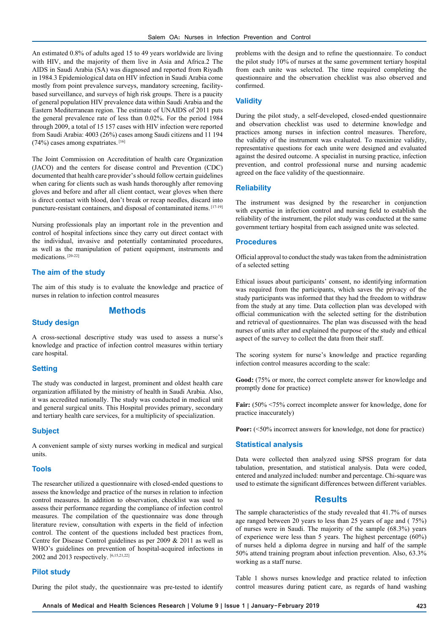An estimated 0.8% of adults aged 15 to 49 years worldwide are living with HIV, and the majority of them live in Asia and Africa.2 The AIDS in Saudi Arabia (SA) was diagnosed and reported from Riyadh in 1984.3 Epidemiological data on HIV infection in Saudi Arabia come mostly from point prevalence surveys, mandatory screening, facilitybased surveillance, and surveys of high risk groups. There is a paucity of general population HIV prevalence data within Saudi Arabia and the Eastern Mediterranean region. The estimate of UNAIDS of 2011 puts the general prevalence rate of less than 0.02%. For the period 1984 through 2009, a total of 15 157 cases with HIV infection were reported from Saudi Arabia: 4003 (26%) cases among Saudi citizens and 11 194 (74%) cases among expatriates. [16]

The Joint Commission on Accreditation of health care Organization (JACO) and the centers for disease control and Prevention (CDC) documented that health care provider's should follow certain guidelines when caring for clients such as wash hands thoroughly after removing gloves and before and after all client contact, wear gloves when there is direct contact with blood, don't break or recap needles, discard into puncture-resistant containers, and disposal of contaminated items. [17-19]

Nursing professionals play an important role in the prevention and control of hospital infections since they carry out direct contact with the individual, invasive and potentially contaminated procedures, as well as the manipulation of patient equipment, instruments and medications. [20-22]

#### **The aim of the study**

The aim of this study is to evaluate the knowledge and practice of nurses in relation to infection control measures

# **Methods**

#### **Study design**

A cross-sectional descriptive study was used to assess a nurse's knowledge and practice of infection control measures within tertiary care hospital.

#### **Setting**

The study was conducted in largest, prominent and oldest health care organization affiliated by the ministry of health in Saudi Arabia. Also, it was accredited nationally. The study was conducted in medical unit and general surgical units. This Hospital provides primary, secondary and tertiary health care services, for a multiplicity of specialization.

#### **Subject**

A convenient sample of sixty nurses working in medical and surgical units.

#### **Tools**

The researcher utilized a questionnaire with closed-ended questions to assess the knowledge and practice of the nurses in relation to infection control measures. In addition to observation, checklist was used to assess their performance regarding the compliance of infection control measures. The compilation of the questionnaire was done through literature review, consultation with experts in the field of infection control. The content of the questions included best practices from, Centre for Disease Control guidelines as per 2009 & 2011 as well as WHO's guidelines on prevention of hospital-acquired infections in 2002 and 2013 respectively. [6,15,21,22]

#### **Pilot study**

During the pilot study, the questionnaire was pre-tested to identify

problems with the design and to refine the questionnaire. To conduct the pilot study 10% of nurses at the same government tertiary hospital from each unite was selected. The time required completing the questionnaire and the observation checklist was also observed and confirmed.

#### **Validity**

During the pilot study, a self-developed, closed-ended questionnaire and observation checklist was used to determine knowledge and practices among nurses in infection control measures. Therefore, the validity of the instrument was evaluated. To maximize validity, representative questions for each unite were designed and evaluated against the desired outcome. A specialist in nursing practice, infection prevention, and control professional nurse and nursing academic agreed on the face validity of the questionnaire.

#### **Reliability**

The instrument was designed by the researcher in conjunction with expertise in infection control and nursing field to establish the reliability of the instrument, the pilot study was conducted at the same government tertiary hospital from each assigned unite was selected.

# **Procedures**

Official approval to conduct the study was taken from the administration of a selected setting

Ethical issues about participants' consent, no identifying information was required from the participants, which saves the privacy of the study participants was informed that they had the freedom to withdraw from the study at any time. Data collection plan was developed with official communication with the selected setting for the distribution and retrieval of questionnaires. The plan was discussed with the head nurses of units after and explained the purpose of the study and ethical aspect of the survey to collect the data from their staff.

The scoring system for nurse's knowledge and practice regarding infection control measures according to the scale:

Good:  $(75\%$  or more, the correct complete answer for knowledge and promptly done for practice)

Fair:  $(50\% \le 75\%$  correct incomplete answer for knowledge, done for practice inaccurately)

**Poor:**  $({\le}50\%$  incorrect answers for knowledge, not done for practice)

#### **Statistical analysis**

Data were collected then analyzed using SPSS program for data tabulation, presentation, and statistical analysis. Data were coded, entered and analyzed included: number and percentage. Chi-square was used to estimate the significant differences between different variables.

#### **Results**

The sample characteristics of the study revealed that 41.7% of nurses age ranged between 20 years to less than 25 years of age and ( 75%) of nurses were in Saudi. The majority of the sample (68.3%) years of experience were less than 5 years. The highest percentage (60%) of nurses held a diploma degree in nursing and half of the sample 50% attend training program about infection prevention. Also, 63.3% working as a staff nurse.

Table 1 shows nurses knowledge and practice related to infection control measures during patient care, as regards of hand washing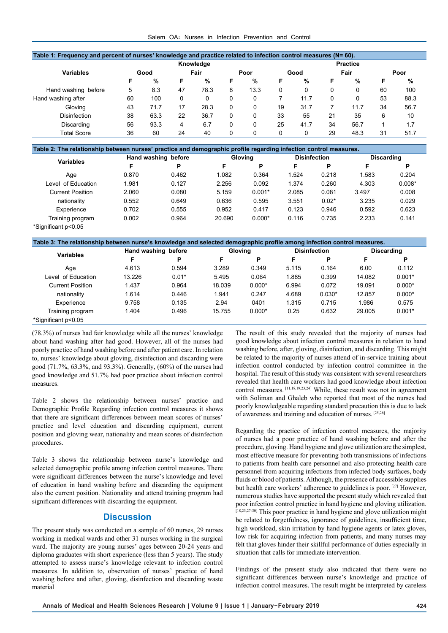#### Salem OA: Nurses in Infection Prevention and Control

| Table 1: Frequency and percent of nurses' knowledge and practice related to infection control measures (N= 60). |      |      |    |      |   |      |                 |      |    |      |    |      |  |
|-----------------------------------------------------------------------------------------------------------------|------|------|----|------|---|------|-----------------|------|----|------|----|------|--|
| Knowledge                                                                                                       |      |      |    |      |   |      | <b>Practice</b> |      |    |      |    |      |  |
| <b>Variables</b>                                                                                                | Good |      |    | Fair |   | Poor |                 | Good |    | Fair |    | Poor |  |
|                                                                                                                 | F    | %    | F  | %    | F | %    | F               | %    | F  | %    | F  | %    |  |
| Hand washing before                                                                                             | 5    | 8.3  | 47 | 78.3 | 8 | 13.3 | 0               | 0    | 0  | 0    | 60 | 100  |  |
| Hand washing after                                                                                              | 60   | 100  | 0  |      | 0 | 0    |                 | 11.7 | 0  | 0    | 53 | 88.3 |  |
| Glovina                                                                                                         | 43   | 71.7 | 17 | 28.3 | 0 | 0    | 19              | 31.7 |    | 11.7 | 34 | 56.7 |  |
| Disinfection                                                                                                    | 38   | 63.3 | 22 | 36.7 | 0 | 0    | 33              | 55   | 21 | 35   | 6  | 10   |  |
| Discarding                                                                                                      | 56   | 93.3 | 4  | 6.7  | 0 | 0    | 25              | 41.7 | 34 | 56.7 |    | 1.7  |  |
| <b>Total Score</b>                                                                                              | 36   | 60   | 24 | 40   | 0 | 0    |                 | 0    | 29 | 48.3 | 31 | 51.7 |  |

| Table 2: The relationship between nurses' practice and demographic profile regarding infection control measures. |                     |       |        |                |       |                     |            |          |  |  |
|------------------------------------------------------------------------------------------------------------------|---------------------|-------|--------|----------------|-------|---------------------|------------|----------|--|--|
| <b>Variables</b>                                                                                                 | Hand washing before |       |        | <b>Glovina</b> |       | <b>Disinfection</b> | Discarding |          |  |  |
|                                                                                                                  | F                   | P     | F      | P              | F     | P                   | F          | Р        |  |  |
| Age                                                                                                              | 0.870               | 0.462 | 1.082  | 0.364          | 1.524 | 0.218               | 1.583      | 0.204    |  |  |
| Level of Education                                                                                               | 1.981               | 0.127 | 2.256  | 0.092          | 1.374 | 0.260               | 4.303      | $0.008*$ |  |  |
| <b>Current Position</b>                                                                                          | 2.060               | 0.080 | 5.159  | $0.001*$       | 2.085 | 0.081               | 3.497      | 0.008    |  |  |
| nationality                                                                                                      | 0.552               | 0.649 | 0.636  | 0.595          | 3.551 | $0.02*$             | 3.235      | 0.029    |  |  |
| Experience                                                                                                       | 0.702               | 0.555 | 0.952  | 0.417          | 0.123 | 0.946               | 0.592      | 0.623    |  |  |
| Training program                                                                                                 | 0.002               | 0.964 | 20.690 | $0.000*$       | 0.116 | 0.735               | 2.233      | 0.141    |  |  |
| *Significant p<0.05                                                                                              |                     |       |        |                |       |                     |            |          |  |  |

| Table 3: The relationship between nurse's knowledge and selected demographic profile among infection control measures. |                     |         |         |          |       |                     |                   |          |  |
|------------------------------------------------------------------------------------------------------------------------|---------------------|---------|---------|----------|-------|---------------------|-------------------|----------|--|
| Variables                                                                                                              | Hand washing before |         | Gloving |          |       | <b>Disinfection</b> | <b>Discarding</b> |          |  |
|                                                                                                                        | F                   | Р       | F       | P        | F     | P                   | F                 | Р        |  |
| Age                                                                                                                    | 4.613               | 0.594   | 3.289   | 0.349    | 5.115 | 0.164               | 6.00              | 0.112    |  |
| Level of Education                                                                                                     | 13.226              | $0.01*$ | 5.495   | 0.064    | 1.885 | 0.399               | 14.082            | $0.001*$ |  |
| <b>Current Position</b>                                                                                                | 1.437               | 0.964   | 18.039  | $0.000*$ | 6.994 | 0.072               | 19.091            | $0.000*$ |  |
| nationality                                                                                                            | 1.614               | 0.446   | 1.941   | 0.247    | 4.689 | $0.030*$            | 12.857            | $0.000*$ |  |
| Experience                                                                                                             | 9.758               | 0.135   | 2.94    | 0401     | 1.315 | 0.715               | 1.986             | 0.575    |  |
| Training program                                                                                                       | 1.404               | 0.496   | 15.755  | $0.000*$ | 0.25  | 0.632               | 29.005            | $0.001*$ |  |
| *Significant p<0.05                                                                                                    |                     |         |         |          |       |                     |                   |          |  |

(78.3%) of nurses had fair knowledge while all the nurses' knowledge about hand washing after had good. However, all of the nurses had poorly practice of hand washing before and after patient care. In relation to, nurses' knowledge about gloving, disinfection and discarding were good (71.7%, 63.3%, and 93.3%). Generally, (60%) of the nurses had good knowledge and 51.7% had poor practice about infection control measures.

Table 2 shows the relationship between nurses' practice and Demographic Profile Regarding infection control measures it shows that there are significant differences between mean scores of nurses' practice and level education and discarding equipment, current position and gloving wear, nationality and mean scores of disinfection procedures.

Table 3 shows the relationship between nurse's knowledge and selected demographic profile among infection control measures. There were significant differences between the nurse's knowledge and level of education in hand washing before and discarding the equipment also the current position. Nationality and attend training program had significant differences with discarding the equipment.

#### **Discussion**

The present study was conducted on a sample of 60 nurses, 29 nurses working in medical wards and other 31 nurses working in the surgical ward. The majority are young nurses' ages between 20-24 years and diploma graduates with short experience (less than 5 years). The study attempted to assess nurse's knowledge relevant to infection control measures. In addition to, observation of nurses' practice of hand washing before and after, gloving, disinfection and discarding waste material

The result of this study revealed that the majority of nurses had good knowledge about infection control measures in relation to hand washing before, after, gloving, disinfection, and discarding. This might be related to the majority of nurses attend of in-service training about infection control conducted by infection control committee in the hospital. The result of this study was consistent with several researchers revealed that health care workers had good knowledge about infection control measures. [11,18,19,23,24] While, these result was not in agreement with Soliman and Ghaleb who reported that most of the nurses had poorly knowledgeable regarding standard precaution this is due to lack of awareness and training and education of nurses. [25,26]

Regarding the practice of infection control measures, the majority of nurses had a poor practice of hand washing before and after the procedure, gloving. Hand hygiene and glove utilization are the simplest, most effective measure for preventing both transmissions of infections to patients from health care personnel and also protecting health care personnel from acquiring infections from infected body surfaces, body fluids or blood of patients. Although, the presence of accessible supplies but health care workers' adherence to guidelines is poor. [27] However, numerous studies have supported the present study which revealed that poor infection control practice in hand hygiene and gloving utilization. [18,23,27-30] This poor practice in hand hygiene and glove utilization might be related to forgetfulness, ignorance of guidelines, insufficient time, high workload, skin irritation by hand hygiene agents or latex gloves, low risk for acquiring infection from patients, and many nurses may felt that gloves hinder their skillful performance of duties especially in situation that calls for immediate intervention.

Findings of the present study also indicated that there were no significant differences between nurse's knowledge and practice of infection control measures. The result might be interpreted by careless